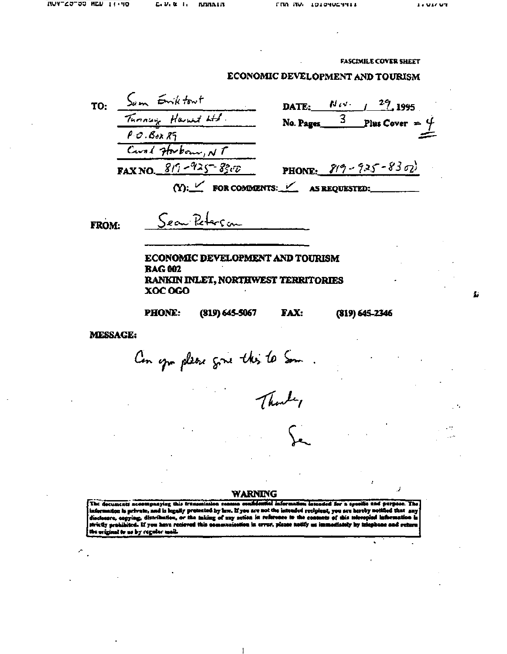Ы

**FASCIMILE COVER SHEET** 

## ECONOMIC DEVELOPMENT AND TOURISM

TO: Sum Emiktout  $P O . B<sub>ox</sub> R<sub>1</sub>$ P.U. OOX XY<br>Count Horbour, NT **FAX NO.**  $819 - 925 - 8300$ 

 $27.1995$ Nov-DATE:  $\overline{3}$  Plus Cover =  $\frac{4}{3}$ No. Pages\_

PHONE:  $819 - 925 - 8302$ 

(Y):  $\frac{1}{2}$  FOR COMMENTS:  $\frac{1}{2}$  AS REQUESTED:

FROM:

Sear Peterson

ECONOMIC DEVELOPMENT AND TOURISM **BAG 002** RANKIN INLET, NORTHWEST TERRITORIES XOC OGO

**PHONE:** 

 $(819) 645 - 5067$ **FAX:**   $(819) 645 - 2346$ 

MESSAGE:

Con you please give this to Som.

## **WARNING**

for a set ific and purper The decuments accompany ation is private, and is legally protected by law. If you are not the intended recipient, you are hereby n disclosure, copying, distribution, or the taking of any action in reference to the contents of this televopied<br>strictly prohibited. If you have recieved this sommunication in error, please notify us immodiately by telepho he original to us by regular mail.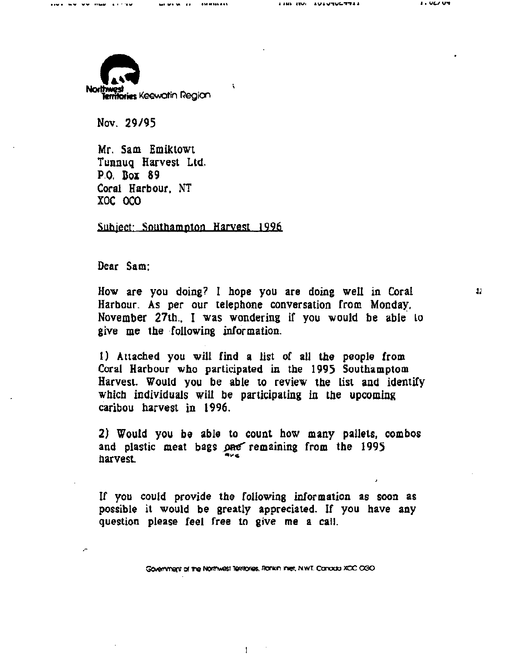ww.mus.arring

 $\mathbf{t}$ 



Nov. 29/95

Mr. Sam Emiktowt Tunnuq Harvest Ltd. P.O. Box 89 Coral Harbour. NT XOC OCO

Subject: Southampton Harvest 1996

Dear Sam;

"

How are you doing? I hope you are doing well in Coral Harbour. As per our telephone conversation from Monday, November 27th. I was wondering if you would be able to give me the following information.

1) Attached you will find a list of all the people from Coral Harbour who participated in the 1995 Southamptom Harvest. Would you be able to review tbe list and identify which individuals will be participating in the upcoming caribou harvest in 1996.

2) Would you be able to count how many pallets, combos and plastic meat bags one remaining from the 1995 harvest.

If you could provide the following information as soon as possible it would be greatly appreciated. If you have any question please feel free to give me a call.

Government of the Northwest Territories, Roman Inter, N.W.T. Canada XOC 030

 $\bullet$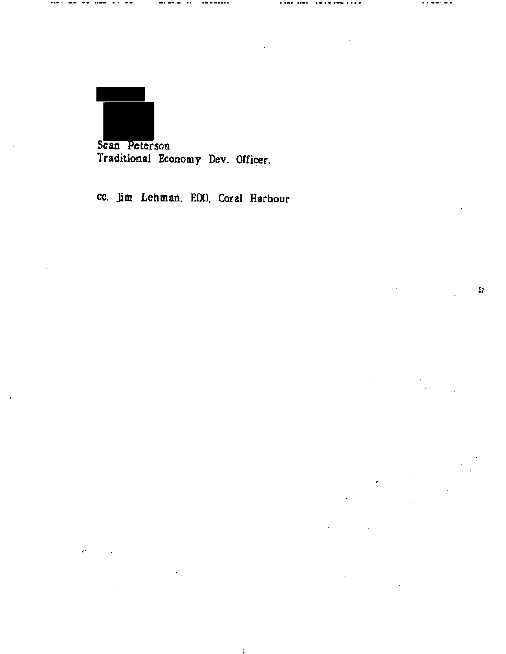Sean Peterson Traditional Economy Dev. Officer.

м. - 11 ...

**CAMP TEMP** 

. .

 $\epsilon$ 

**The Search Control** 

 $\sim 32$ 

cc. Jim Lehman, EDO, Coral Harbour

 $\mathbf{1}$